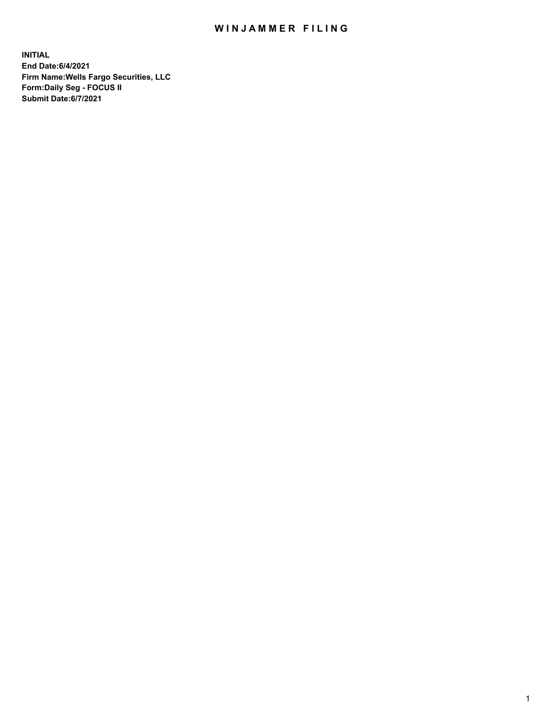## WIN JAMMER FILING

**INITIAL End Date:6/4/2021 Firm Name:Wells Fargo Securities, LLC Form:Daily Seg - FOCUS II Submit Date:6/7/2021**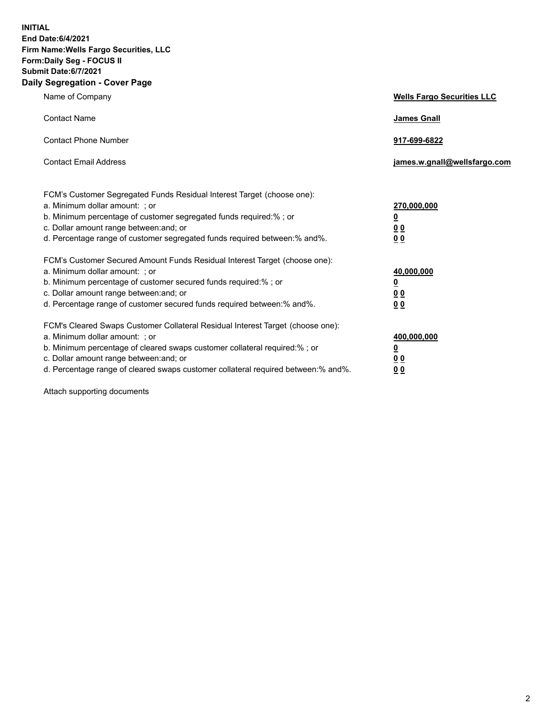**INITIAL End Date:6/4/2021 Firm Name:Wells Fargo Securities, LLC Form:Daily Seg - FOCUS II Submit Date:6/7/2021 Daily Segregation - Cover Page**

| Name of Company                                                                                                                                                                                                                                                                                                                | <b>Wells Fargo Securities LLC</b>                              |
|--------------------------------------------------------------------------------------------------------------------------------------------------------------------------------------------------------------------------------------------------------------------------------------------------------------------------------|----------------------------------------------------------------|
| <b>Contact Name</b>                                                                                                                                                                                                                                                                                                            | <b>James Gnall</b>                                             |
| <b>Contact Phone Number</b>                                                                                                                                                                                                                                                                                                    | 917-699-6822                                                   |
| <b>Contact Email Address</b>                                                                                                                                                                                                                                                                                                   | james.w.gnall@wellsfargo.com                                   |
| FCM's Customer Segregated Funds Residual Interest Target (choose one):<br>a. Minimum dollar amount: ; or<br>b. Minimum percentage of customer segregated funds required:% ; or<br>c. Dollar amount range between: and; or<br>d. Percentage range of customer segregated funds required between:% and%.                         | 270,000,000<br>$\overline{\mathbf{0}}$<br>0 <sub>0</sub><br>00 |
| FCM's Customer Secured Amount Funds Residual Interest Target (choose one):<br>a. Minimum dollar amount: ; or<br>b. Minimum percentage of customer secured funds required:% ; or<br>c. Dollar amount range between: and; or<br>d. Percentage range of customer secured funds required between:% and%.                           | 40,000,000<br><u>0</u><br>00<br>0 <sub>0</sub>                 |
| FCM's Cleared Swaps Customer Collateral Residual Interest Target (choose one):<br>a. Minimum dollar amount: ; or<br>b. Minimum percentage of cleared swaps customer collateral required:% ; or<br>c. Dollar amount range between: and; or<br>d. Percentage range of cleared swaps customer collateral required between:% and%. | 400,000,000<br><u>0</u><br>0 <sub>0</sub><br>00                |

Attach supporting documents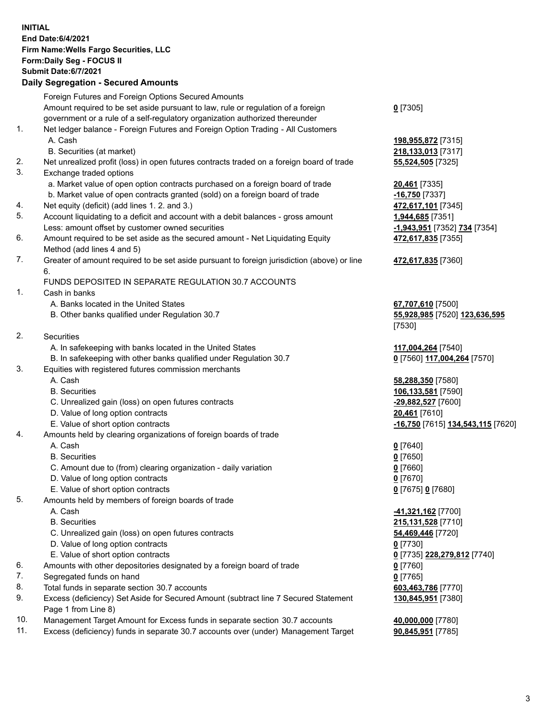**INITIAL End Date:6/4/2021 Firm Name:Wells Fargo Securities, LLC Form:Daily Seg - FOCUS II Submit Date:6/7/2021 Daily Segregation - Secured Amounts** Foreign Futures and Foreign Options Secured Amounts Amount required to be set aside pursuant to law, rule or regulation of a foreign government or a rule of a self-regulatory organization authorized thereunder **0** [7305] 1. Net ledger balance - Foreign Futures and Foreign Option Trading - All Customers A. Cash **198,955,872** [7315] B. Securities (at market) **218,133,013** [7317] 2. Net unrealized profit (loss) in open futures contracts traded on a foreign board of trade **55,524,505** [7325] 3. Exchange traded options a. Market value of open option contracts purchased on a foreign board of trade **20,461** [7335] b. Market value of open contracts granted (sold) on a foreign board of trade **-16,750** [7337] 4. Net equity (deficit) (add lines 1. 2. and 3.) **472,617,101** [7345] 5. Account liquidating to a deficit and account with a debit balances - gross amount **1,944,685** [7351] Less: amount offset by customer owned securities **-1,943,951** [7352] **734** [7354] 6. Amount required to be set aside as the secured amount - Net Liquidating Equity Method (add lines 4 and 5) **472,617,835** [7355] 7. Greater of amount required to be set aside pursuant to foreign jurisdiction (above) or line 6. **472,617,835** [7360] FUNDS DEPOSITED IN SEPARATE REGULATION 30.7 ACCOUNTS 1. Cash in banks A. Banks located in the United States **67,707,610** [7500] B. Other banks qualified under Regulation 30.7 **55,928,985** [7520] **123,636,595** [7530] 2. Securities A. In safekeeping with banks located in the United States **117,004,264** [7540] B. In safekeeping with other banks qualified under Regulation 30.7 **0** [7560] **117,004,264** [7570] 3. Equities with registered futures commission merchants A. Cash **58,288,350** [7580] B. Securities **106,133,581** [7590] C. Unrealized gain (loss) on open futures contracts **-29,882,527** [7600] D. Value of long option contracts **20,461** [7610] E. Value of short option contracts **-16,750** [7615] **134,543,115** [7620] 4. Amounts held by clearing organizations of foreign boards of trade A. Cash **0** [7640] B. Securities **0** [7650] C. Amount due to (from) clearing organization - daily variation **0** [7660] D. Value of long option contracts **0** [7670] E. Value of short option contracts **0** [7675] **0** [7680] 5. Amounts held by members of foreign boards of trade A. Cash **-41,321,162** [7700] B. Securities **215,131,528** [7710] C. Unrealized gain (loss) on open futures contracts **54,469,446** [7720] D. Value of long option contracts **0** [7730] E. Value of short option contracts **0** [7735] **228,279,812** [7740] 6. Amounts with other depositories designated by a foreign board of trade **0** [7760] 7. Segregated funds on hand **0** [7765] 8. Total funds in separate section 30.7 accounts **603,463,786** [7770]

- 9. Excess (deficiency) Set Aside for Secured Amount (subtract line 7 Secured Statement Page 1 from Line 8)
- 10. Management Target Amount for Excess funds in separate section 30.7 accounts **40,000,000** [7780]
- 11. Excess (deficiency) funds in separate 30.7 accounts over (under) Management Target **90,845,951** [7785]

**130,845,951** [7380]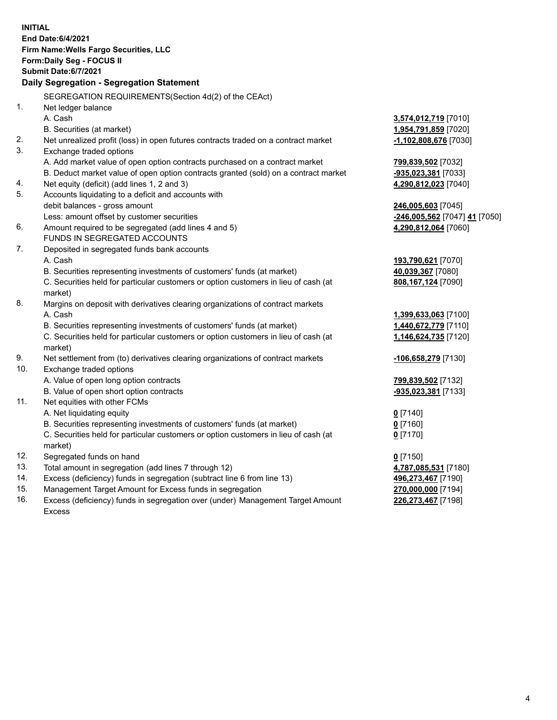| <b>INITIAL</b> | End Date: 6/4/2021<br>Firm Name: Wells Fargo Securities, LLC<br>Form: Daily Seg - FOCUS II<br>Submit Date: 6/7/2021<br>Daily Segregation - Segregation Statement |                                                       |
|----------------|------------------------------------------------------------------------------------------------------------------------------------------------------------------|-------------------------------------------------------|
|                | SEGREGATION REQUIREMENTS(Section 4d(2) of the CEAct)                                                                                                             |                                                       |
| 1.             | Net ledger balance                                                                                                                                               |                                                       |
|                | A. Cash                                                                                                                                                          | 3,574,012,719 [7010]                                  |
|                | B. Securities (at market)                                                                                                                                        | 1,954,791,859 [7020]                                  |
| 2.             | Net unrealized profit (loss) in open futures contracts traded on a contract market                                                                               | $-1,102,808,676$ [7030]                               |
| 3.             | Exchange traded options                                                                                                                                          |                                                       |
|                | A. Add market value of open option contracts purchased on a contract market                                                                                      | 799,839,502 [7032]                                    |
|                | B. Deduct market value of open option contracts granted (sold) on a contract market                                                                              | -935,023,381 [7033]                                   |
| 4.             | Net equity (deficit) (add lines 1, 2 and 3)                                                                                                                      | 4,290,812,023 [7040]                                  |
| 5.             | Accounts liquidating to a deficit and accounts with                                                                                                              |                                                       |
|                | debit balances - gross amount                                                                                                                                    | 246,005,603 [7045]                                    |
| 6.             | Less: amount offset by customer securities<br>Amount required to be segregated (add lines 4 and 5)                                                               | -246,005,562 [7047] 41 [7050]<br>4,290,812,064 [7060] |
|                | FUNDS IN SEGREGATED ACCOUNTS                                                                                                                                     |                                                       |
| 7.             | Deposited in segregated funds bank accounts                                                                                                                      |                                                       |
|                | A. Cash                                                                                                                                                          | 193,790,621 [7070]                                    |
|                | B. Securities representing investments of customers' funds (at market)                                                                                           | 40,039,367 [7080]                                     |
|                | C. Securities held for particular customers or option customers in lieu of cash (at                                                                              | 808,167,124 [7090]                                    |
|                | market)                                                                                                                                                          |                                                       |
| 8.             | Margins on deposit with derivatives clearing organizations of contract markets                                                                                   |                                                       |
|                | A. Cash                                                                                                                                                          | 1,399,633,063 [7100]                                  |
|                | B. Securities representing investments of customers' funds (at market)                                                                                           | 1,440,672,779 [7110]                                  |
|                | C. Securities held for particular customers or option customers in lieu of cash (at                                                                              | 1,146,624,735 [7120]                                  |
|                | market)                                                                                                                                                          |                                                       |
| 9.             | Net settlement from (to) derivatives clearing organizations of contract markets                                                                                  | -106,658,279 [7130]                                   |
| 10.            | Exchange traded options                                                                                                                                          |                                                       |
|                | A. Value of open long option contracts                                                                                                                           | 799,839,502 [7132]                                    |
|                | B. Value of open short option contracts                                                                                                                          | -935,023,381 [7133]                                   |
| 11.            | Net equities with other FCMs                                                                                                                                     |                                                       |
|                | A. Net liquidating equity                                                                                                                                        | $0$ [7140]                                            |
|                | B. Securities representing investments of customers' funds (at market)                                                                                           | 0 [7160]                                              |
|                | C. Securities held for particular customers or option customers in lieu of cash (at                                                                              | $0$ [7170]                                            |
|                | market)                                                                                                                                                          |                                                       |
| 12.            | Segregated funds on hand                                                                                                                                         | $0$ [7150]                                            |
| 13.            | Total amount in segregation (add lines 7 through 12)                                                                                                             | 4,787,085,531 [7180]                                  |
| 14.            | Excess (deficiency) funds in segregation (subtract line 6 from line 13)                                                                                          | 496,273,467 [7190]                                    |
| 15.<br>16.     | Management Target Amount for Excess funds in segregation                                                                                                         | 270,000,000 [7194]                                    |
|                | Excess (deficiency) funds in segregation over (under) Management Target Amount                                                                                   | 226,273,467 [7198]                                    |
|                | <b>Excess</b>                                                                                                                                                    |                                                       |